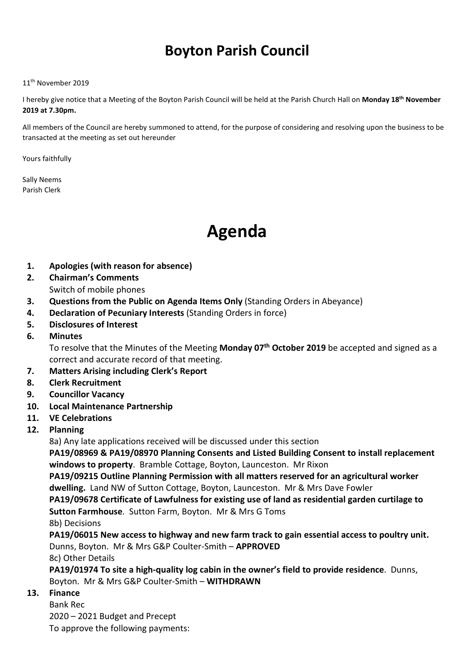# Boyton Parish Council

#### 11<sup>th</sup> November 2019

I hereby give notice that a Meeting of the Boyton Parish Council will be held at the Parish Church Hall on Monday 18<sup>th</sup> November 2019 at 7.30pm.

All members of the Council are hereby summoned to attend, for the purpose of considering and resolving upon the business to be transacted at the meeting as set out hereunder

Yours faithfully

Sally Neems Parish Clerk

# Agenda

- 1. Apologies (with reason for absence)
- 2. Chairman's Comments
	- Switch of mobile phones
- 3. Questions from the Public on Agenda Items Only (Standing Orders in Abeyance)
- 4. Declaration of Pecuniary Interests (Standing Orders in force)
- 5. Disclosures of Interest
- 6. Minutes

To resolve that the Minutes of the Meeting Monday 07<sup>th</sup> October 2019 be accepted and signed as a correct and accurate record of that meeting.

- 7. Matters Arising including Clerk's Report
- 8. Clerk Recruitment
- 9. Councillor Vacancy
- 10. Local Maintenance Partnership
- 11. VE Celebrations
- 12. Planning

8a) Any late applications received will be discussed under this section

PA19/08969 & PA19/08970 Planning Consents and Listed Building Consent to install replacement windows to property. Bramble Cottage, Boyton, Launceston. Mr Rixon

PA19/09215 Outline Planning Permission with all matters reserved for an agricultural worker dwelling. Land NW of Sutton Cottage, Boyton, Launceston. Mr & Mrs Dave Fowler

PA19/09678 Certificate of Lawfulness for existing use of land as residential garden curtilage to Sutton Farmhouse. Sutton Farm, Boyton. Mr & Mrs G Toms

8b) Decisions

PA19/06015 New access to highway and new farm track to gain essential access to poultry unit. Dunns, Boyton. Mr & Mrs G&P Coulter-Smith – APPROVED

8c) Other Details

PA19/01974 To site a high-quality log cabin in the owner's field to provide residence. Dunns, Boyton. Mr & Mrs G&P Coulter-Smith – WITHDRAWN

### 13. Finance

Bank Rec 2020 – 2021 Budget and Precept To approve the following payments: